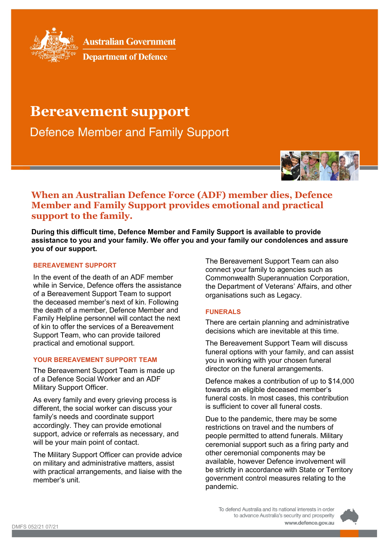

**Australian Government** 

**Department of Defence** 

# **Bereavement support**

**Defence Member and Family Support** 



# **When an Australian Defence Force (ADF) member dies, Defence Member and Family Support provides emotional and practical support to the family.**

**During this difficult time, Defence Member and Family Support is available to provide assistance to you and your family. We offer you and your family our condolences and assure you of our support.**

## **BEREAVEMENT SUPPORT**

In the event of the death of an ADF member while in Service, Defence offers the assistance of a Bereavement Support Team to support the deceased member's next of kin. Following the death of a member, Defence Member and Family Helpline personnel will contact the next of kin to offer the services of a Bereavement Support Team, who can provide tailored practical and emotional support.

#### **YOUR BEREAVEMENT SUPPORT TEAM**

The Bereavement Support Team is made up of a Defence Social Worker and an ADF Military Support Officer.

As every family and every grieving process is different, the social worker can discuss your family's needs and coordinate support accordingly. They can provide emotional support, advice or referrals as necessary, and will be your main point of contact.

The Military Support Officer can provide advice on military and administrative matters, assist with practical arrangements, and liaise with the member's unit.

The Bereavement Support Team can also connect your family to agencies such as Commonwealth Superannuation Corporation, the Department of Veterans' Affairs, and other organisations such as Legacy.

#### **FUNERALS**

There are certain planning and administrative decisions which are inevitable at this time.

The Bereavement Support Team will discuss funeral options with your family, and can assist you in working with your chosen funeral director on the funeral arrangements.

Defence makes a contribution of up to \$14,000 towards an eligible deceased member's funeral costs. In most cases, this contribution is sufficient to cover all funeral costs.

Due to the pandemic, there may be some restrictions on travel and the numbers of people permitted to attend funerals. Military ceremonial support such as a firing party and other ceremonial components may be available, however Defence involvement will be strictly in accordance with State or Territory government control measures relating to the pandemic.